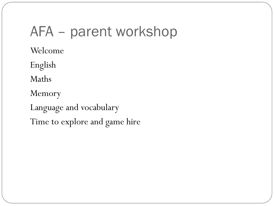### AFA – parent workshop

Welcome

English

Maths

Memory

Language and vocabulary Time to explore and game hire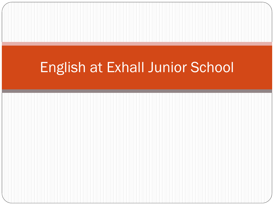### English at Exhall Junior School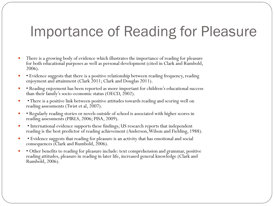#### Importance of Reading for Pleasure

- There is a growing body of evidence which illustrates the importance of reading for pleasure for both educational purposes as well as personal development (cited in Clark and Rumbold, 2006).
- Evidence suggests that there is a positive relationship between reading frequency, reading enjoyment and attainment (Clark 2011; Clark and Douglas 2011).
- Reading enjoyment has been reported as more important for children's educational success than their family's socio-economic status (OECD, 2002).
- There is a positive link between positive attitudes towards reading and scoring well on reading assessments (Twist et al, 2007).
- Regularly reading stories or novels outside of school is associated with higher scores in reading assessments (PIRLS, 2006; PISA, 2009).
- International evidence supports these findings; US research reports that independent reading is the best predictor of reading achievement (Anderson, Wilson and Fielding, 1988).
- Evidence suggests that reading for pleasure is an activity that has emotional and social consequences (Clark and Rumbold, 2006).
- Other benefits to reading for pleasure include: text comprehension and grammar, positive reading attitudes, pleasure in reading in later life, increased general knowledge (Clark and Rumbold, 2006).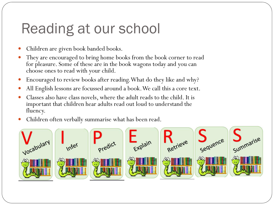## Reading at our school

- Children are given book banded books.
- They are encouraged to bring home books from the book corner to read for pleasure. Some of these are in the book wagons today and you can choose ones to read with your child.
- Encouraged to review books after reading. What do they like and why?
- All English lessons are focussed around a book. We call this a core text.
- Classes also have class novels, where the adult reads to the child. It is important that children hear adults read out loud to understand the fluency.
- Children often verbally summarise what has been read.

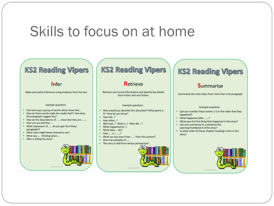#### Skills to focus on at home

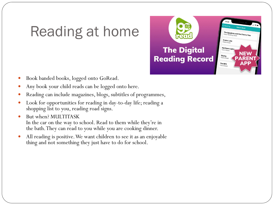## Reading at home

**The Spyglass and the Cherry Tree**<br>Class Reading Book **The Digital** Northern Lig Skellig **Reading Record** The BFG

- Book banded books, logged onto GoRead.
- Any book your child reads can be logged onto here.
- Reading can include magazines, blogs, subtitles of programmes,
- Look for opportunities for reading in day-to-day life; reading a shopping list to you, reading road signs.
- But when? MULTITASK In the car on the way to school. Read to them while they're in the bath. They can read to you while you are cooking dinner.
- All reading is positive. We want children to see it as an enjoyable thing and not something they just have to do for school.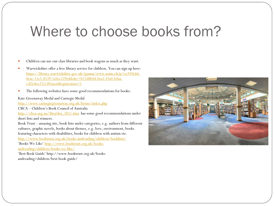#### Where to choose books from?

- Children can use our class libraries and book wagons as much as they want.
- Warwickshire offer a free library service for children. You can sign up here: [https://library.warwickshire.gov.uk/iguana/www.main.cls?p=ec959c66-](https://library.warwickshire.gov.uk/iguana/www.main.cls?p=ec959c66-8eae-11e1-8539-1c0cc229eddc&v=b71d8b4d-bea2-43a4-b4aa-c3f2c8cc27e1#GuestRegistration=1) 8eae-11e1-8539-1c0cc229eddc&v=b71d8b4d-bea2-43a4-b4aac3f2c8cc27e1#GuestRegistration=1
- The following websites have some good recommendations for books:

Kate Greenaway Medal and Carnegie Medal

<http://www.carnegiegreenaway.org.uk/home/index.php>

CBCA – Children's Book Council of Australia

[http://cbca.org.au/Shortlist\\_2011.htm](http://cbca.org.au/Shortlist_2011.htm) has some good recommendations under short lists and winners.

Book Trust – amazing site, book lists under categories, e.g. authors from different cultures, graphic novels, books about themes, e.g. love, environment, books featuring characters with disabilities, books for children with autism etc. <http://www.booktrust.org.uk/books-andreading/children/booklists/> 'Books We Like' http://www.booktrust.org.uk/books[andreading/children/books-we-like/](http://www.booktrust.org.uk/books-andreading/children/books-we-like/) 'Best Book Guide' http://www.booktrust.org.uk/books-

andreading/children/best-book-guide/

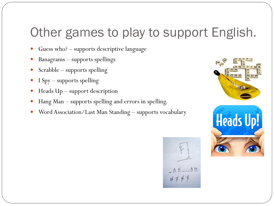#### Other games to play to support English.

- Guess who? supports descriptive language
- Banagrams supports spellings
- Scrabble supports spelling
- I Spy supports spelling
- Heads Up support description
- Hang Man supports spelling and errors in spelling.
- Word Association/Last Man Standing supports vocabulary



AN 井丰户乡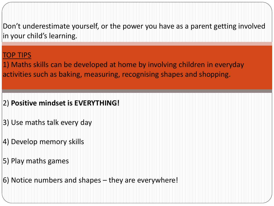Don't underestimate yourself, or the power you have as a parent getting involved in your child's learning.

#### TOP TIPS

1) Maths skills can be developed at home by involving children in everyday activities such as baking, measuring, recognising shapes and shopping.

#### 2) **Positive mindset is EVERYTHING!**

- 3) Use maths talk every day
- 4) Develop memory skills
- 5) Play maths games
- 6) Notice numbers and shapes they are everywhere!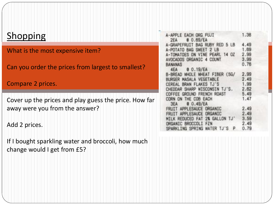| <b>Shopping</b>                                                                                             | EACH ORG FUJI<br>$0.69$ /EA<br>2EA                                | 1.38         |
|-------------------------------------------------------------------------------------------------------------|-------------------------------------------------------------------|--------------|
|                                                                                                             | BAG RUBY RED 5 LB                                                 | 4.49         |
| What is the most expensive item?<br>Can you order the prices from largest to smallest?<br>Compare 2 prices. | <b>BAG SWEET</b>                                                  | 1.69         |
|                                                                                                             | <b>OMATOES ON VINE PEARL</b><br>14 07<br>AVOCADOS ORGANIC 4 COUNT | 2.99<br>3.99 |
|                                                                                                             | BANANAS                                                           | 0.76         |
|                                                                                                             | 0.19/EA<br>4EA                                                    |              |
|                                                                                                             | <b>B-BREAD</b><br>WHOLE WHEAT FIBER (5G/                          | 2.99         |
|                                                                                                             | RURGER MASALA VEGETABLE<br>BRAN FLAKES                            | 2.49<br>1.99 |
|                                                                                                             | WISCONSIN                                                         | 2.62         |
|                                                                                                             | COFFEE GROUND FRENCH ROAST                                        | 5.49         |
| Cover up the prices and play guess the price. How far                                                       | THE COB EACH<br>CORN ON<br>$0.49$ /EA<br>3FA                      | 1.47         |
| away were you from the answer?                                                                              | APPLESAUCE ORGANIC                                                | 2.49         |
| Add 2 prices.                                                                                               | APPLESAULE<br><b>DRIGANIC</b>                                     | 2.49         |
|                                                                                                             | REDUCED FAT 2% GALLON<br><b>ORGANIC BROCCOLT</b><br><b>FZN</b>    | 3.59<br>2.49 |
|                                                                                                             | SPARKLING SPRING                                                  | 0.79         |
|                                                                                                             |                                                                   |              |
| If I bought sparkling water and broccoli, how much                                                          |                                                                   |              |
|                                                                                                             |                                                                   |              |
| change would I get from £5?                                                                                 |                                                                   |              |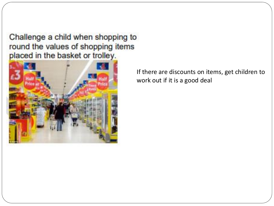Challenge a child when shopping to round the values of shopping items placed in the basket or trolley.



If there are discounts on items, get children to work out if it is a good deal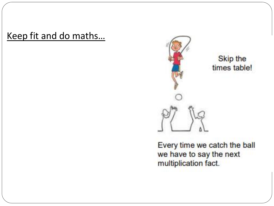Keep fit and do maths…



Skip the times table!

Every time we catch the ball we have to say the next multiplication fact.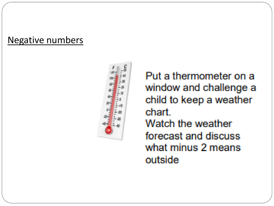#### Negative numbers



Put a thermometer on a window and challenge a child to keep a weather chart. Watch the weather forecast and discuss what minus 2 means outside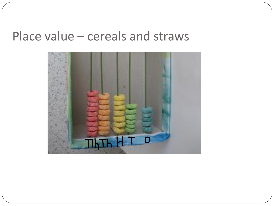#### Place value – cereals and straws

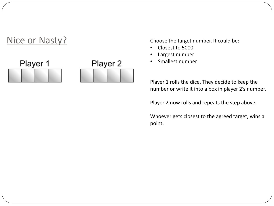

- Closest to 5000
- Largest number
- Smallest number

Player 1 rolls the dice. They decide to keep the number or write it into a box in player 2's number.

Player 2 now rolls and repeats the step above.

Whoever gets closest to the agreed target, wins a point.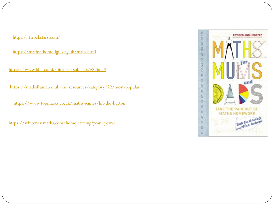<https://ttrockstars.com/>

<https://mathsathome.lgfl.org.uk/main.html>

<https://www.bbc.co.uk/bitesize/subjects/z826n39>

<https://mathsframe.co.uk/en/resources/category/22/most-popular>

<https://www.topmarks.co.uk/maths-games/hit-the-button>

<https://whiterosemaths.com/homelearning?year=year-1>

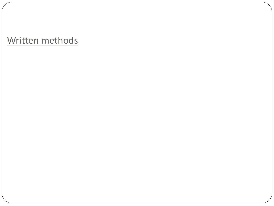#### Written methods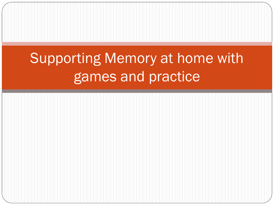# Supporting Memory at home with games and practice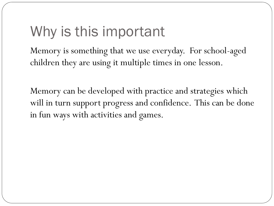# Why is this important

Memory is something that we use everyday. For school-aged children they are using it multiple times in one lesson.

Memory can be developed with practice and strategies which will in turn support progress and confidence. This can be done in fun ways with activities and games.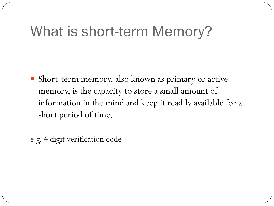### What is short-term Memory?

 Short-term memory, also known as primary or active memory, is the capacity to store a small amount of information in the mind and keep it readily available for a short period of time.

e.g. 4 digit verification code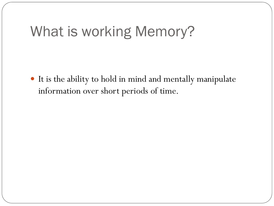### What is working Memory?

 It is the ability to hold in mind and mentally manipulate information over short periods of time.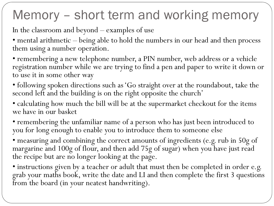### Memory – short term and working memory

In the classroom and beyond – examples of use

• mental arithmetic – being able to hold the numbers in our head and then process them using a number operation.

• remembering a new telephone number, a PIN number, web address or a vehicle registration number while we are trying to find a pen and paper to write it down or to use it in some other way

• following spoken directions such as 'Go straight over at the roundabout, take the second left and the building is on the right opposite the church'

• calculating how much the bill will be at the supermarket checkout for the items we have in our basket

• remembering the unfamiliar name of a person who has just been introduced to you for long enough to enable you to introduce them to someone else

• measuring and combining the correct amounts of ingredients (e.g. rub in 50g of margarine and 100g of flour, and then add 75g of sugar) when you have just read the recipe but are no longer looking at the page.

• instructions given by a teacher or adult that must then be completed in order e.g. grab your maths book, write the date and LI and then complete the first 3 questions from the board (in your neatest handwriting).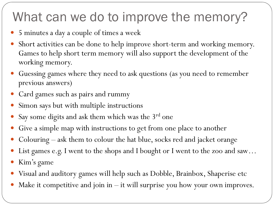### What can we do to improve the memory?

- 5 minutes a day a couple of times a week
- Short activities can be done to help improve short-term and working memory. Games to help short term memory will also support the development of the working memory.
- Guessing games where they need to ask questions (as you need to remember previous answers)
- Card games such as pairs and rummy
- Simon says but with multiple instructions
- Say some digits and ask them which was the  $3^{rd}$  one
- Give a simple map with instructions to get from one place to another
- Colouring ask them to colour the hat blue, socks red and jacket orange
- List games e.g. I went to the shops and I bought or I went to the zoo and saw...
- Kim's game
- Visual and auditory games will help such as Dobble, Brainbox, Shaperise etc
- Make it competitive and join in it will surprise you how your own improves.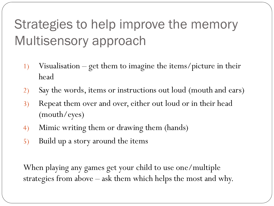## Strategies to help improve the memory Multisensory approach

- 1) Visualisation get them to imagine the items/picture in their head
- 2) Say the words, items or instructions out loud (mouth and ears)
- 3) Repeat them over and over, either out loud or in their head (mouth/eyes)
- 4) Mimic writing them or drawing them (hands)
- 5) Build up a story around the items

When playing any games get your child to use one/multiple strategies from above – ask them which helps the most and why.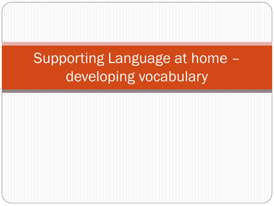# Supporting Language at home – developing vocabulary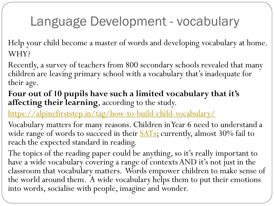### Language Development - vocabulary

Help your child become a master of words and developing vocabulary at home. WHY?

Recently, a survey of teachers from 800 secondary schools revealed that many children are leaving primary school with a vocabulary that's inadequate for their age.

**Four out of 10 pupils have such a limited vocabulary that it's affecting their learning**, according to the study.

<https://alpinefirststep.in/tag/how-to-build-child-vocabulary/>

Vocabulary matters for many reasons. Children in Year 6 need to understand a wide range of words to succeed in their **[SATs](https://www.theschoolrun.com/sats/sats-year-6)**; currently, almost 30% fail to reach the expected standard in reading.

The topics of the reading paper could be anything, so it's really important to have a wide vocabulary covering a range of contexts AND it's not just in the classroom that vocabulary matters. Words empower children to make sense of the world around them. A wide vocabulary helps them to put their emotions into words, socialise with people, imagine and wonder.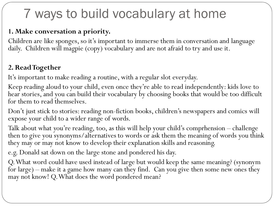### 7 ways to build vocabulary at home

#### **1. Make conversation a priority.**

Children are like sponges, so it's important to immerse them in conversation and language daily. Children will magpie (copy) vocabulary and are not afraid to try and use it.

#### **2. Read Together**

It's important to make reading a routine, with a regular slot everyday.

Keep reading aloud to your child, even once they're able to read independently: kids love to hear stories, and you can build their vocabulary by choosing books that would be too difficult for them to read themselves.

Don't just stick to stories: reading non-fiction books, children's newspapers and comics will expose your child to a wider range of words.

Talk about what you're reading, too, as this will help your child's comprhension – challenge then to give you synonyms/alternatives to words or ask them the meaning of words you think they may or may not know to develop their explanation skills and reasoning.

e.g. Donald sat down on the large stone and pondered his day.

Q. What word could have used instead of large but would keep the same meaning? (synonym for large) – make it a game how many can they find. Can you give then some new ones they may not know! Q. What does the word pondered mean?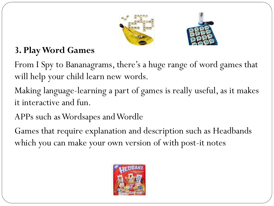



#### **3. Play Word Games**

From I Spy to Bananagrams, there's a huge range of word games that will help your child learn new words.

Making language-learning a part of games is really useful, as it makes it interactive and fun.

APPs such as Wordsapes and Wordle

Games that require explanation and description such as Headbands which you can make your own version of with post-it notes

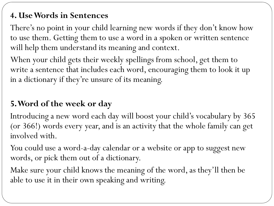#### **4. Use Words in Sentences**

There's no point in your child learning new words if they don't know how to use them. Getting them to use a word in a spoken or written sentence will help them understand its meaning and context.

When your child gets their weekly spellings from school, get them to write a sentence that includes each word, encouraging them to look it up in a dictionary if they're unsure of its meaning.

#### **5. Word of the week or day**

Introducing a new word each day will boost your child's vocabulary by 365 (or 366!) words every year, and is an activity that the whole family can get involved with.

You could use a word-a-day calendar or a website or app to suggest new words, or pick them out of a dictionary.

Make sure your child knows the meaning of the word, as they'll then be able to use it in their own speaking and writing.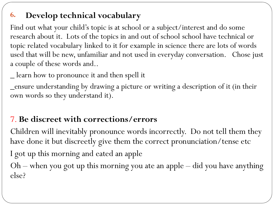#### **6. Develop technical vocabulary**

Find out what your child's topic is at school or a subject/interest and do some research about it. Lots of the topics in and out of school school have technical or topic related vocabulary linked to it for example in science there are lots of words used that will be new, unfamiliar and not used in everyday conversation. Chose just a couple of these words and..

\_ learn how to pronounce it and then spell it

\_ensure understanding by drawing a picture or writing a description of it (in their own words so they understand it).

#### 7. **Be discreet with corrections/errors**

Children will inevitably pronounce words incorrectly. Do not tell them they have done it but discreetly give them the correct pronunciation/tense etc I got up this morning and eated an apple Oh – when you got up this morning you ate an apple – did you have anything else?